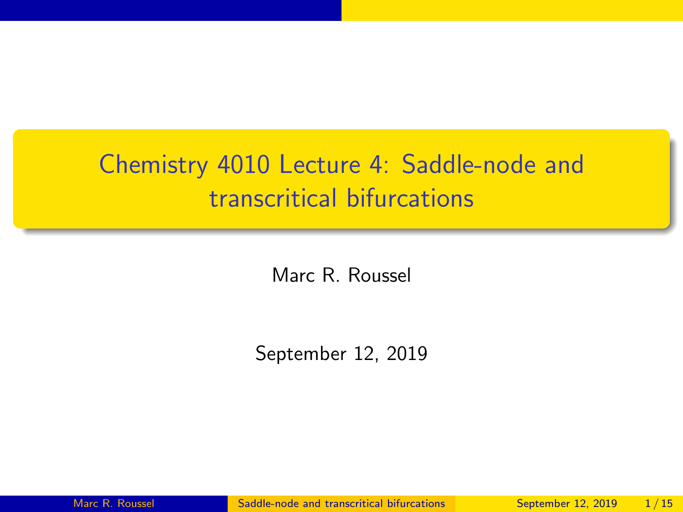## <span id="page-0-0"></span>Chemistry 4010 Lecture 4: Saddle-node and transcritical bifurcations

Marc R. Roussel

September 12, 2019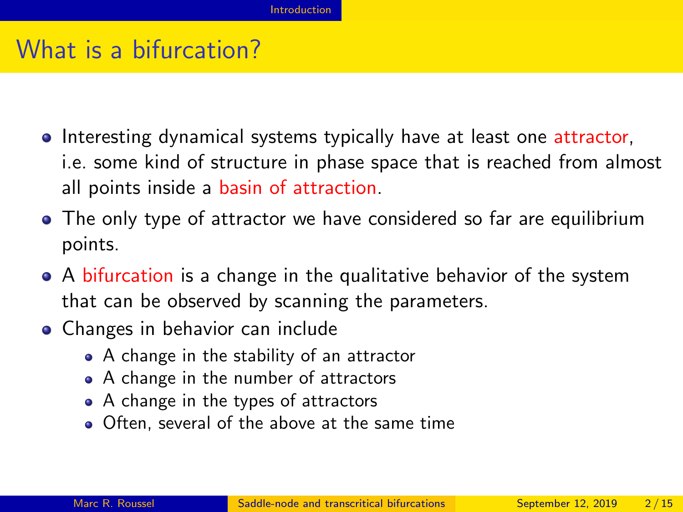#### <span id="page-1-0"></span>What is a bifurcation?

- **Interesting dynamical systems typically have at least one attractor,** i.e. some kind of structure in phase space that is reached from almost all points inside a basin of attraction.
- The only type of attractor we have considered so far are equilibrium points.
- A bifurcation is a change in the qualitative behavior of the system that can be observed by scanning the parameters.
- Changes in behavior can include
	- A change in the stability of an attractor
	- A change in the number of attractors
	- A change in the types of attractors
	- Often, several of the above at the same time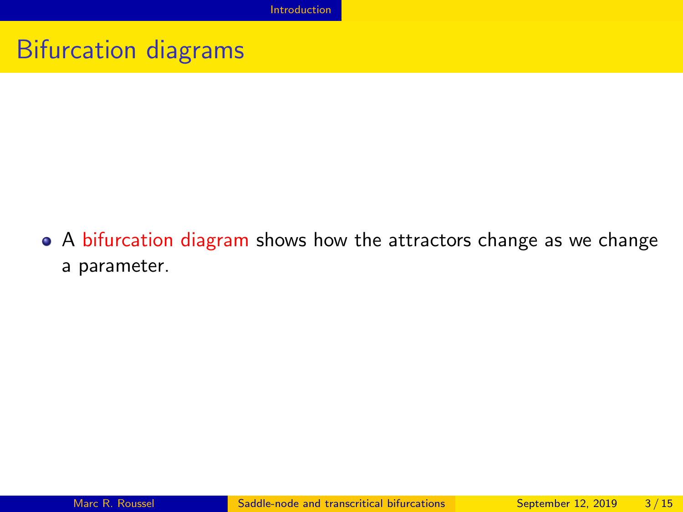#### Bifurcation diagrams

A bifurcation diagram shows how the attractors change as we change a parameter.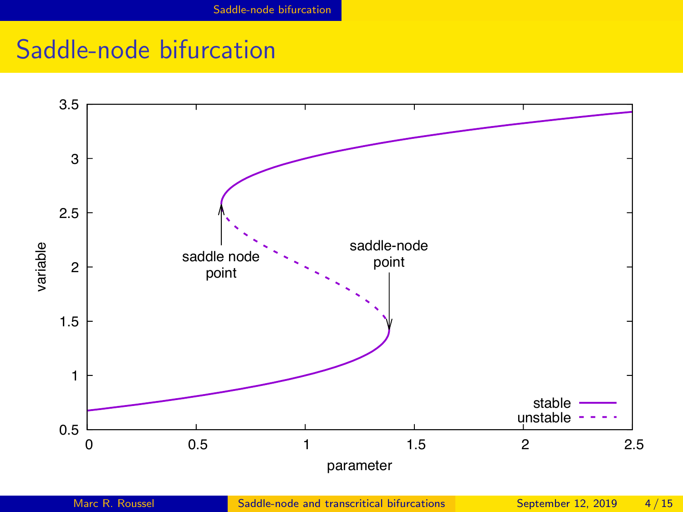## <span id="page-3-0"></span>Saddle-node bifurcation

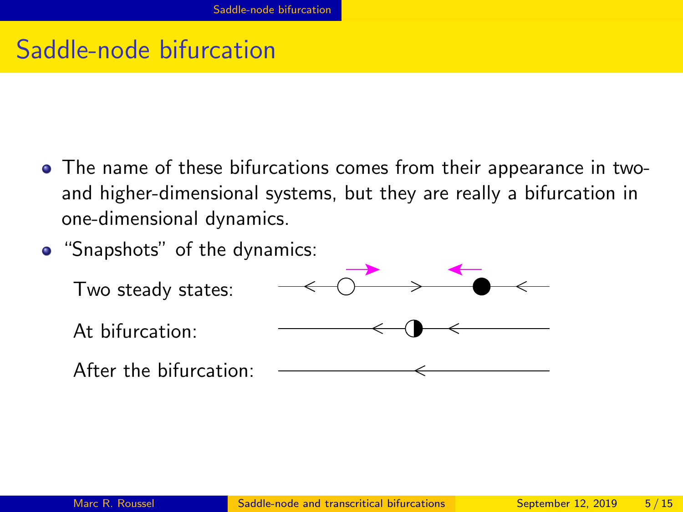### Saddle-node bifurcation

- The name of these bifurcations comes from their appearance in twoand higher-dimensional systems, but they are really a bifurcation in one-dimensional dynamics.
- "Snapshots" of the dynamics:

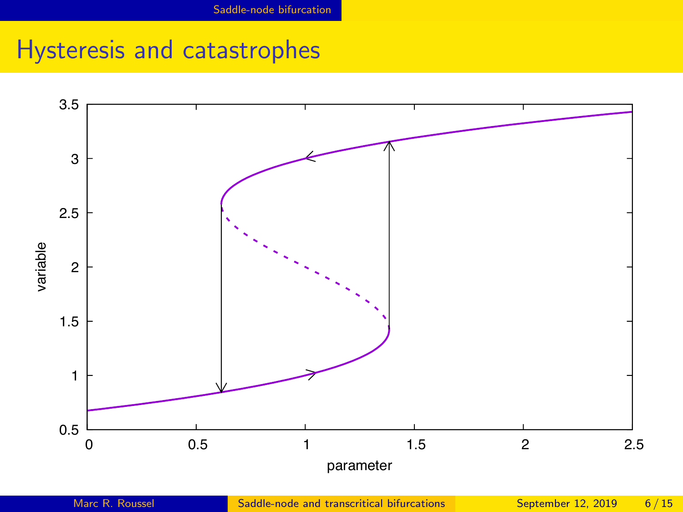# Hysteresis and catastrophes

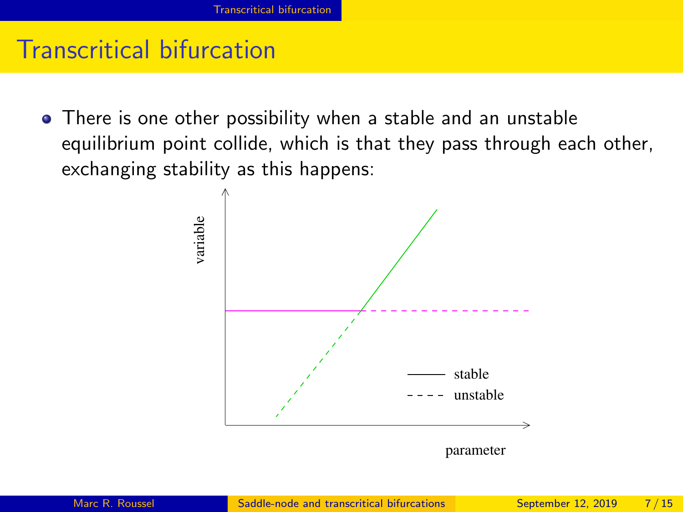#### <span id="page-6-0"></span>Transcritical bifurcation

There is one other possibility when a stable and an unstable equilibrium point collide, which is that they pass through each other, exchanging stability as this happens:

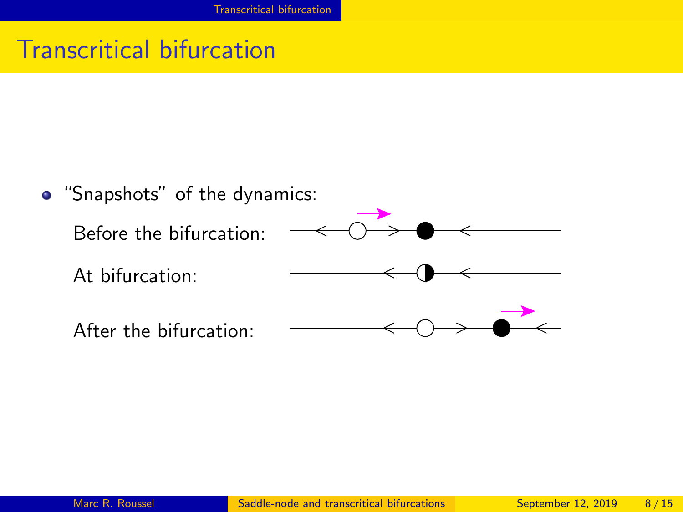## Transcritical bifurcation

"Snapshots" of the dynamics: Before the bifurcation: At bifurcation: After the bifurcation: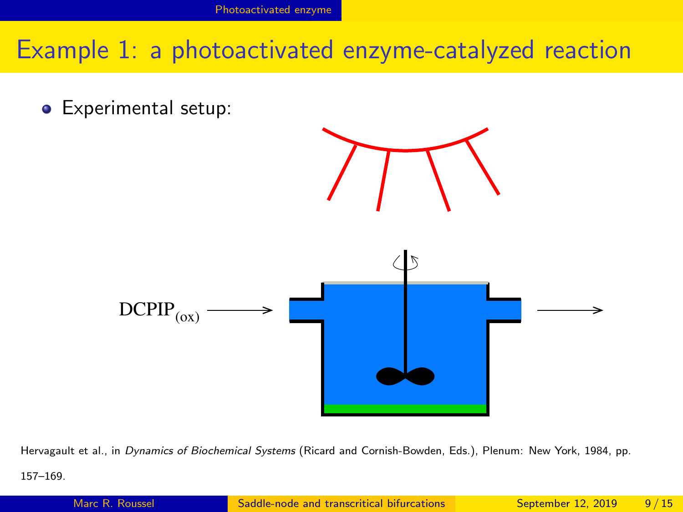#### <span id="page-8-0"></span>Example 1: a photoactivated enzyme-catalyzed reaction

**•** Experimental setup:



Hervagault et al., in Dynamics of Biochemical Systems (Ricard and Cornish-Bowden, Eds.), Plenum: New York, 1984, pp. 157–169.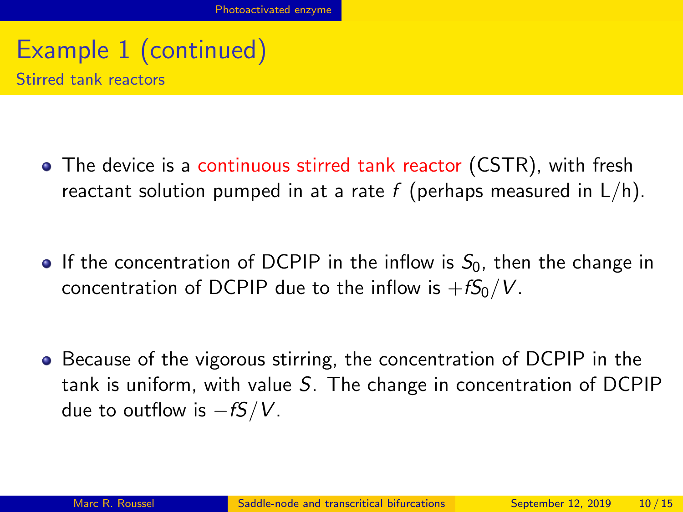#### Example 1 (continued) Stirred tank reactors

- The device is a continuous stirred tank reactor (CSTR), with fresh reactant solution pumped in at a rate f (perhaps measured in  $L/h$ ).
- If the concentration of DCPIP in the inflow is  $S_0$ , then the change in concentration of DCPIP due to the inflow is  $+fS_0/V$ .
- **•** Because of the vigorous stirring, the concentration of DCPIP in the tank is uniform, with value S. The change in concentration of DCPIP due to outflow is  $-fS/V$ .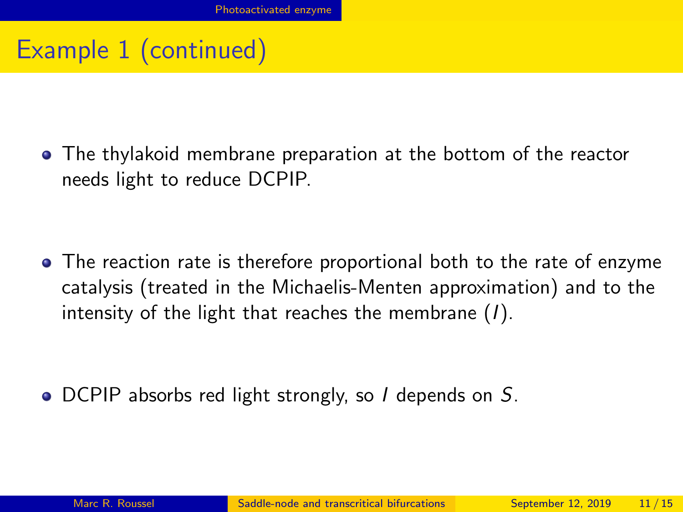## Example 1 (continued)

The thylakoid membrane preparation at the bottom of the reactor needs light to reduce DCPIP.

• The reaction rate is therefore proportional both to the rate of enzyme catalysis (treated in the Michaelis-Menten approximation) and to the intensity of the light that reaches the membrane  $(I)$ .

• DCPIP absorbs red light strongly, so I depends on S.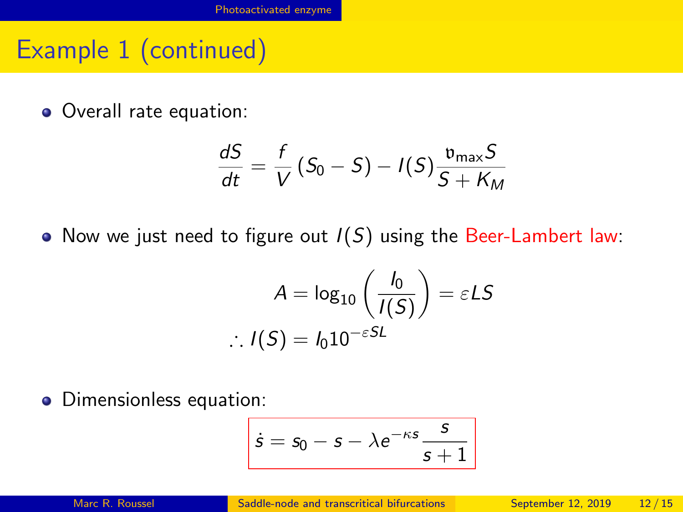## Example 1 (continued)

• Overall rate equation:

$$
\frac{dS}{dt} = \frac{f}{V}(S_0 - S) - I(S)\frac{v_{\text{max}}S}{S + K_M}
$$

• Now we just need to figure out  $I(S)$  using the Beer-Lambert law:

$$
A = \log_{10} \left( \frac{I_0}{I(S)} \right) = \varepsilon L S
$$
  
 
$$
\therefore I(S) = I_0 10^{-\varepsilon S L}
$$

• Dimensionless equation:

$$
\overline{\dot{s}} = s_0 - s - \lambda e^{-\kappa s} \frac{s}{s+1}
$$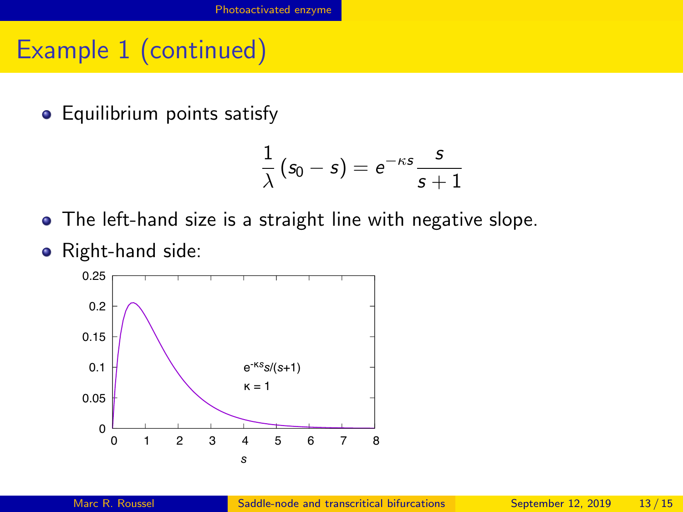## Example 1 (continued)

**•** Equilibrium points satisfy

$$
\frac{1}{\lambda}\left(\mathsf{s}_0-\mathsf{s}\right)=\mathsf{e}^{-\kappa \mathsf{s}}\frac{\mathsf{s}}{\mathsf{s}+1}
$$

- The left-hand size is a straight line with negative slope.
- Right-hand side:

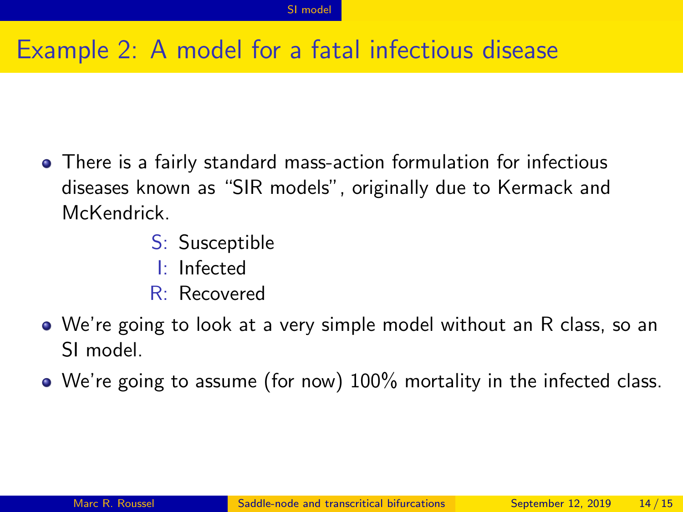## <span id="page-13-0"></span>Example 2: A model for a fatal infectious disease

- There is a fairly standard mass-action formulation for infectious diseases known as "SIR models", originally due to Kermack and McKendrick.
	- S: Susceptible
	- I: Infected
	- R: Recovered
- We're going to look at a very simple model without an R class, so an SI model.
- We're going to assume (for now) 100% mortality in the infected class.